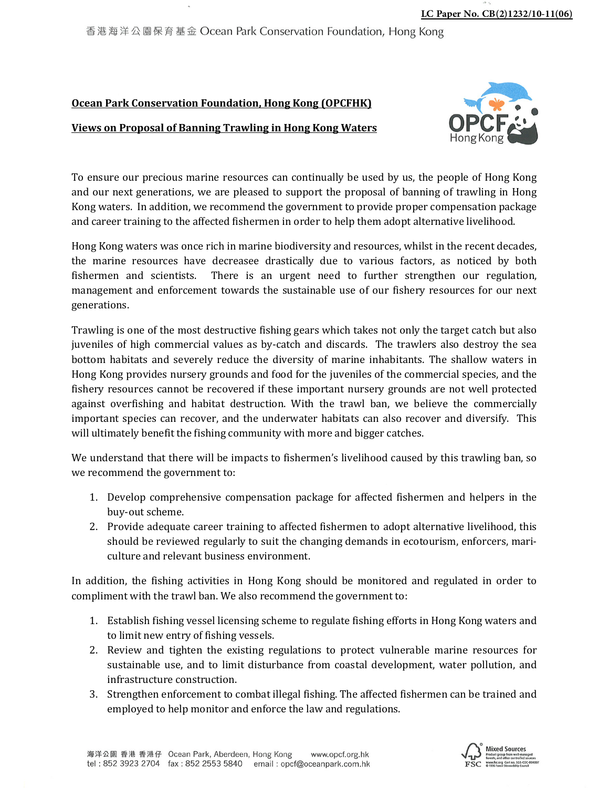

香港海洋公園保育基金 Ocean Park Conservation Foundation, Hong Kong

## **Ocean Park Conservation Foundation, Hong Kong (OPCFHK)**

## **Views on Proposal of Banning Trawling in Hong Kong Waters**



To ensure our precious marine resources can continually be used by us, the people of Hong Kong and our next generations, we are pleased to support the proposal of banning of trawling in Hong Kong waters. In addition, we recommend the government to provide proper compensation package and career training to the affected fishermen in order to help them adopt alternative livelihood.

Hong Kong waters was once rich in marine biodiversity and resources, whilst in the recent decades, the marine resources have decreasee drastically due to various factors, as noticed by both fishermen and scientists. There is an urgent need to further strengthen our regulation, management and enforcement towards the sustainable use of our fishery resources for our next generations.

Trawling is one of the most destructive fishing gears which takes not only the target catch but also juveniles of high commercial values as by-catch and discards. The trawlers also destroy the sea bottom habitats and severely reduce the diversity of marine inhabitants. The shallow waters in Hong Kong provides nursery grounds and food for the juveniles of the commercial species, and the fishery resources cannot be recovered if these important nursery grounds are not well protected against overfishing and habitat destruction. With the trawl ban, we believe the commercially important species can recover, and the underwater habitats can also recover and diversify. This will ultimately benefit the fishing community with more and bigger catches.

We understand that there will be impacts to fishermen's livelihood caused by this trawling ban, so we recommend the government to:

- 1. Develop comprehensive compensation package for affected fishermen and helpers in the buy-out scheme.
- 2. Provide adequate career training to affected fishermen to adopt alternative livelihood, this should be reviewed regularly to suit the changing demands in ecotourism, enforcers, mariculture and relevant business environment.

In addition, the fishing activities in Hong Kong should be monitored and regulated in order to compliment with the trawl ban. We also recommend the government to:

- 1. Establish fishing vessel licensing scheme to regulate fishing efforts in Hong Kong waters and to limit new entry of fishing vessels.
- 2. Review and tighten the existing regulations to protect vulnerable marine resources for sustainable use, and to limit disturbance from coastal development, water pollution, and infrastructure construction.
- 3. Strengthen enforcement to combat illegal fishing. The affected fishermen can be trained and employed to help monitor and enforce the law and regulations.